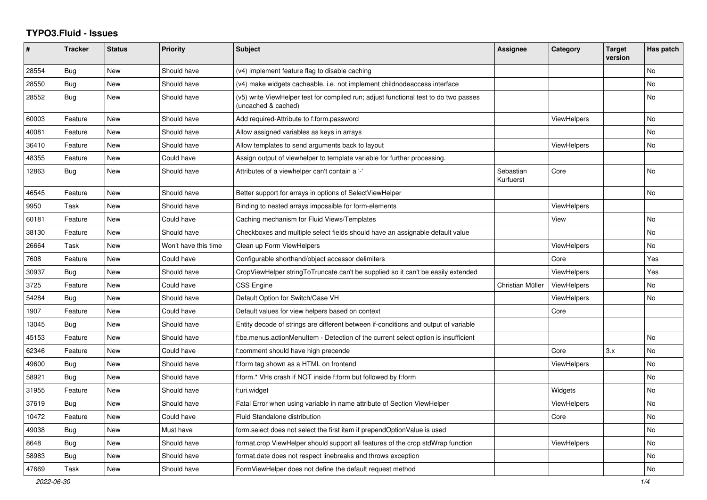## **TYPO3.Fluid - Issues**

| #     | <b>Tracker</b> | <b>Status</b> | <b>Priority</b>      | <b>Subject</b>                                                                                              | Assignee               | Category           | <b>Target</b><br>version | Has patch |
|-------|----------------|---------------|----------------------|-------------------------------------------------------------------------------------------------------------|------------------------|--------------------|--------------------------|-----------|
| 28554 | <b>Bug</b>     | New           | Should have          | (v4) implement feature flag to disable caching                                                              |                        |                    |                          | <b>No</b> |
| 28550 | <b>Bug</b>     | New           | Should have          | (v4) make widgets cacheable, i.e. not implement childnodeaccess interface                                   |                        |                    |                          | <b>No</b> |
| 28552 | Bug            | New           | Should have          | (v5) write ViewHelper test for compiled run; adjust functional test to do two passes<br>(uncached & cached) |                        |                    |                          | No        |
| 60003 | Feature        | New           | Should have          | Add required-Attribute to f:form.password                                                                   |                        | <b>ViewHelpers</b> |                          | <b>No</b> |
| 40081 | Feature        | New           | Should have          | Allow assigned variables as keys in arrays                                                                  |                        |                    |                          | No        |
| 36410 | Feature        | New           | Should have          | Allow templates to send arguments back to layout                                                            |                        | <b>ViewHelpers</b> |                          | <b>No</b> |
| 48355 | Feature        | New           | Could have           | Assign output of viewhelper to template variable for further processing.                                    |                        |                    |                          |           |
| 12863 | Bug            | New           | Should have          | Attributes of a viewhelper can't contain a '-'                                                              | Sebastian<br>Kurfuerst | Core               |                          | No        |
| 46545 | Feature        | New           | Should have          | Better support for arrays in options of SelectViewHelper                                                    |                        |                    |                          | No        |
| 9950  | Task           | New           | Should have          | Binding to nested arrays impossible for form-elements                                                       |                        | ViewHelpers        |                          |           |
| 60181 | Feature        | New           | Could have           | Caching mechanism for Fluid Views/Templates                                                                 |                        | View               |                          | No        |
| 38130 | Feature        | <b>New</b>    | Should have          | Checkboxes and multiple select fields should have an assignable default value                               |                        |                    |                          | <b>No</b> |
| 26664 | Task           | New           | Won't have this time | Clean up Form ViewHelpers                                                                                   |                        | ViewHelpers        |                          | <b>No</b> |
| 7608  | Feature        | New           | Could have           | Configurable shorthand/object accessor delimiters                                                           |                        | Core               |                          | Yes       |
| 30937 | Bug            | New           | Should have          | CropViewHelper stringToTruncate can't be supplied so it can't be easily extended                            |                        | <b>ViewHelpers</b> |                          | Yes       |
| 3725  | Feature        | New           | Could have           | <b>CSS Engine</b>                                                                                           | Christian Müller       | ViewHelpers        |                          | No        |
| 54284 | <b>Bug</b>     | New           | Should have          | Default Option for Switch/Case VH                                                                           |                        | <b>ViewHelpers</b> |                          | No        |
| 1907  | Feature        | New           | Could have           | Default values for view helpers based on context                                                            |                        | Core               |                          |           |
| 13045 | Bug            | <b>New</b>    | Should have          | Entity decode of strings are different between if-conditions and output of variable                         |                        |                    |                          |           |
| 45153 | Feature        | New           | Should have          | f:be.menus.actionMenuItem - Detection of the current select option is insufficient                          |                        |                    |                          | No        |
| 62346 | Feature        | <b>New</b>    | Could have           | f:comment should have high precende                                                                         |                        | Core               | 3.x                      | <b>No</b> |
| 49600 | Bug            | <b>New</b>    | Should have          | f:form tag shown as a HTML on frontend                                                                      |                        | ViewHelpers        |                          | <b>No</b> |
| 58921 | Bug            | New           | Should have          | f:form.* VHs crash if NOT inside f:form but followed by f:form                                              |                        |                    |                          | No        |
| 31955 | Feature        | New           | Should have          | f:uri.widget                                                                                                |                        | Widgets            |                          | No        |
| 37619 | <b>Bug</b>     | New           | Should have          | Fatal Error when using variable in name attribute of Section ViewHelper                                     |                        | <b>ViewHelpers</b> |                          | No        |
| 10472 | Feature        | New           | Could have           | Fluid Standalone distribution                                                                               |                        | Core               |                          | <b>No</b> |
| 49038 | Bug            | New           | Must have            | form select does not select the first item if prependOptionValue is used                                    |                        |                    |                          | No        |
| 8648  | Bug            | New           | Should have          | format.crop ViewHelper should support all features of the crop stdWrap function                             |                        | <b>ViewHelpers</b> |                          | No        |
| 58983 | Bug            | New           | Should have          | format.date does not respect linebreaks and throws exception                                                |                        |                    |                          | No        |
| 47669 | Task           | New           | Should have          | FormViewHelper does not define the default request method                                                   |                        |                    |                          | No        |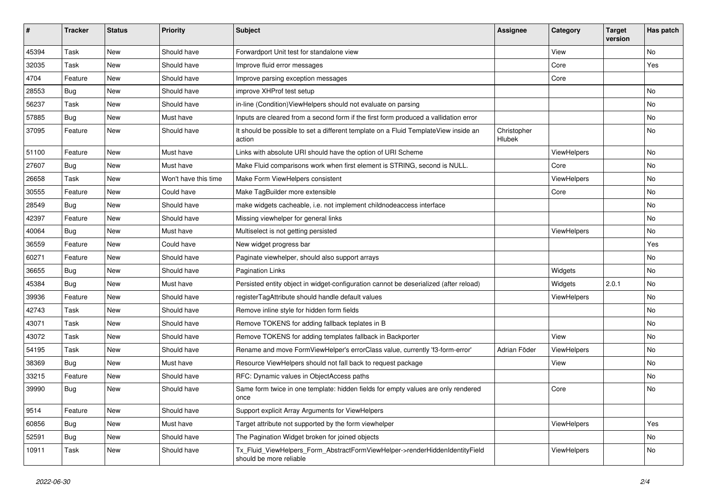| #     | <b>Tracker</b> | <b>Status</b> | <b>Priority</b>      | <b>Subject</b>                                                                                         | <b>Assignee</b>       | Category    | <b>Target</b><br>version | Has patch |
|-------|----------------|---------------|----------------------|--------------------------------------------------------------------------------------------------------|-----------------------|-------------|--------------------------|-----------|
| 45394 | Task           | New           | Should have          | Forwardport Unit test for standalone view                                                              |                       | View        |                          | No        |
| 32035 | Task           | New           | Should have          | Improve fluid error messages                                                                           |                       | Core        |                          | Yes       |
| 4704  | Feature        | New           | Should have          | Improve parsing exception messages                                                                     |                       | Core        |                          |           |
| 28553 | Bug            | New           | Should have          | improve XHProf test setup                                                                              |                       |             |                          | No        |
| 56237 | Task           | New           | Should have          | in-line (Condition) View Helpers should not evaluate on parsing                                        |                       |             |                          | No        |
| 57885 | Bug            | New           | Must have            | Inputs are cleared from a second form if the first form produced a vallidation error                   |                       |             |                          | No        |
| 37095 | Feature        | New           | Should have          | It should be possible to set a different template on a Fluid TemplateView inside an<br>action          | Christopher<br>Hlubek |             |                          | No        |
| 51100 | Feature        | New           | Must have            | Links with absolute URI should have the option of URI Scheme                                           |                       | ViewHelpers |                          | No        |
| 27607 | <b>Bug</b>     | New           | Must have            | Make Fluid comparisons work when first element is STRING, second is NULL.                              |                       | Core        |                          | No        |
| 26658 | Task           | New           | Won't have this time | Make Form ViewHelpers consistent                                                                       |                       | ViewHelpers |                          | No        |
| 30555 | Feature        | New           | Could have           | Make TagBuilder more extensible                                                                        |                       | Core        |                          | No        |
| 28549 | Bug            | New           | Should have          | make widgets cacheable, i.e. not implement childnodeaccess interface                                   |                       |             |                          | No        |
| 42397 | Feature        | New           | Should have          | Missing viewhelper for general links                                                                   |                       |             |                          | No        |
| 40064 | Bug            | New           | Must have            | Multiselect is not getting persisted                                                                   |                       | ViewHelpers |                          | No        |
| 36559 | Feature        | New           | Could have           | New widget progress bar                                                                                |                       |             |                          | Yes       |
| 60271 | Feature        | New           | Should have          | Paginate viewhelper, should also support arrays                                                        |                       |             |                          | No        |
| 36655 | Bug            | New           | Should have          | <b>Pagination Links</b>                                                                                |                       | Widgets     |                          | No        |
| 45384 | Bug            | <b>New</b>    | Must have            | Persisted entity object in widget-configuration cannot be deserialized (after reload)                  |                       | Widgets     | 2.0.1                    | No.       |
| 39936 | Feature        | New           | Should have          | registerTagAttribute should handle default values                                                      |                       | ViewHelpers |                          | No        |
| 42743 | Task           | New           | Should have          | Remove inline style for hidden form fields                                                             |                       |             |                          | No        |
| 43071 | Task           | New           | Should have          | Remove TOKENS for adding fallback teplates in B                                                        |                       |             |                          | No        |
| 43072 | Task           | New           | Should have          | Remove TOKENS for adding templates fallback in Backporter                                              |                       | View        |                          | No        |
| 54195 | Task           | New           | Should have          | Rename and move FormViewHelper's errorClass value, currently 'f3-form-error'                           | Adrian Föder          | ViewHelpers |                          | No.       |
| 38369 | Bug            | New           | Must have            | Resource ViewHelpers should not fall back to request package                                           |                       | View        |                          | No        |
| 33215 | Feature        | New           | Should have          | RFC: Dynamic values in ObjectAccess paths                                                              |                       |             |                          | No        |
| 39990 | Bug            | New           | Should have          | Same form twice in one template: hidden fields for empty values are only rendered<br>once              |                       | Core        |                          | No        |
| 9514  | Feature        | New           | Should have          | Support explicit Array Arguments for ViewHelpers                                                       |                       |             |                          |           |
| 60856 | Bug            | New           | Must have            | Target attribute not supported by the form viewhelper                                                  |                       | ViewHelpers |                          | Yes       |
| 52591 | Bug            | New           | Should have          | The Pagination Widget broken for joined objects                                                        |                       |             |                          | No        |
| 10911 | Task           | New           | Should have          | Tx_Fluid_ViewHelpers_Form_AbstractFormViewHelper->renderHiddenIdentityField<br>should be more reliable |                       | ViewHelpers |                          | No        |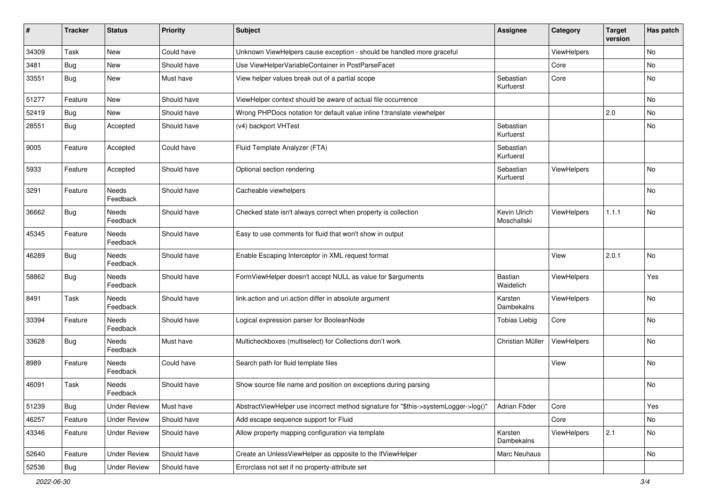| $\pmb{\sharp}$ | Tracker    | <b>Status</b>            | <b>Priority</b> | <b>Subject</b>                                                                      | <b>Assignee</b>             | Category    | <b>Target</b><br>version | Has patch |
|----------------|------------|--------------------------|-----------------|-------------------------------------------------------------------------------------|-----------------------------|-------------|--------------------------|-----------|
| 34309          | Task       | New                      | Could have      | Unknown ViewHelpers cause exception - should be handled more graceful               |                             | ViewHelpers |                          | No        |
| 3481           | Bug        | New                      | Should have     | Use ViewHelperVariableContainer in PostParseFacet                                   |                             | Core        |                          | No        |
| 33551          | Bug        | New                      | Must have       | View helper values break out of a partial scope                                     | Sebastian<br>Kurfuerst      | Core        |                          | No        |
| 51277          | Feature    | <b>New</b>               | Should have     | ViewHelper context should be aware of actual file occurrence                        |                             |             |                          | <b>No</b> |
| 52419          | Bug        | New                      | Should have     | Wrong PHPDocs notation for default value inline f:translate viewhelper              |                             |             | 2.0                      | <b>No</b> |
| 28551          | Bug        | Accepted                 | Should have     | (v4) backport VHTest                                                                | Sebastian<br>Kurfuerst      |             |                          | No        |
| 9005           | Feature    | Accepted                 | Could have      | Fluid Template Analyzer (FTA)                                                       | Sebastian<br>Kurfuerst      |             |                          |           |
| 5933           | Feature    | Accepted                 | Should have     | Optional section rendering                                                          | Sebastian<br>Kurfuerst      | ViewHelpers |                          | <b>No</b> |
| 3291           | Feature    | Needs<br>Feedback        | Should have     | Cacheable viewhelpers                                                               |                             |             |                          | No        |
| 36662          | Bug        | <b>Needs</b><br>Feedback | Should have     | Checked state isn't always correct when property is collection                      | Kevin Ulrich<br>Moschallski | ViewHelpers | 1.1.1                    | <b>No</b> |
| 45345          | Feature    | <b>Needs</b><br>Feedback | Should have     | Easy to use comments for fluid that won't show in output                            |                             |             |                          |           |
| 46289          | Bug        | Needs<br>Feedback        | Should have     | Enable Escaping Interceptor in XML request format                                   |                             | View        | 2.0.1                    | No        |
| 58862          | Bug        | Needs<br>Feedback        | Should have     | FormViewHelper doesn't accept NULL as value for \$arguments                         | Bastian<br>Waidelich        | ViewHelpers |                          | Yes       |
| 8491           | Task       | Needs<br>Feedback        | Should have     | link.action and uri.action differ in absolute argument                              | Karsten<br>Dambekalns       | ViewHelpers |                          | No        |
| 33394          | Feature    | Needs<br>Feedback        | Should have     | Logical expression parser for BooleanNode                                           | <b>Tobias Liebig</b>        | Core        |                          | No        |
| 33628          | Bug        | <b>Needs</b><br>Feedback | Must have       | Multicheckboxes (multiselect) for Collections don't work                            | Christian Müller            | ViewHelpers |                          | No        |
| 8989           | Feature    | <b>Needs</b><br>Feedback | Could have      | Search path for fluid template files                                                |                             | View        |                          | No        |
| 46091          | Task       | <b>Needs</b><br>Feedback | Should have     | Show source file name and position on exceptions during parsing                     |                             |             |                          | No        |
| 51239          | Bug        | <b>Under Review</b>      | Must have       | AbstractViewHelper use incorrect method signature for "\$this->systemLogger->log()" | Adrian Föder                | Core        |                          | Yes       |
| 46257          | Feature    | <b>Under Review</b>      | Should have     | Add escape sequence support for Fluid                                               |                             | Core        |                          | No        |
| 43346          | Feature    | <b>Under Review</b>      | Should have     | Allow property mapping configuration via template                                   | Karsten<br>Dambekalns       | ViewHelpers | 2.1                      | No        |
| 52640          | Feature    | <b>Under Review</b>      | Should have     | Create an UnlessViewHelper as opposite to the IfViewHelper                          | Marc Neuhaus                |             |                          | No        |
| 52536          | <b>Bug</b> | <b>Under Review</b>      | Should have     | Errorclass not set if no property-attribute set                                     |                             |             |                          |           |